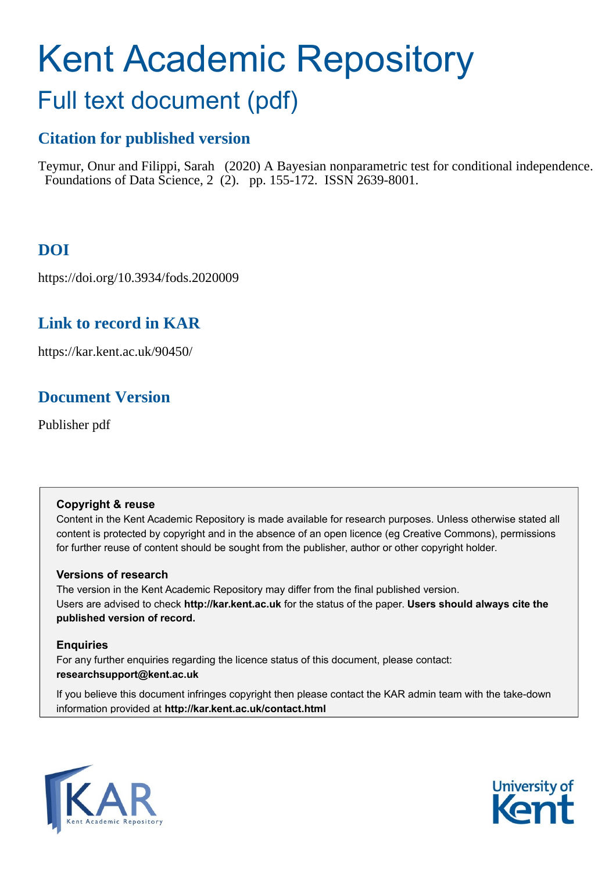# Kent Academic Repository

## Full text document (pdf)

## **Citation for published version**

Teymur, Onur and Filippi, Sarah (2020) A Bayesian nonparametric test for conditional independence. Foundations of Data Science, 2 (2). pp. 155-172. ISSN 2639-8001.

## **DOI**

https://doi.org/10.3934/fods.2020009

## **Link to record in KAR**

https://kar.kent.ac.uk/90450/

## **Document Version**

Publisher pdf

#### **Copyright & reuse**

Content in the Kent Academic Repository is made available for research purposes. Unless otherwise stated all content is protected by copyright and in the absence of an open licence (eg Creative Commons), permissions for further reuse of content should be sought from the publisher, author or other copyright holder.

#### **Versions of research**

The version in the Kent Academic Repository may differ from the final published version. Users are advised to check **http://kar.kent.ac.uk** for the status of the paper. **Users should always cite the published version of record.**

#### **Enquiries**

For any further enquiries regarding the licence status of this document, please contact: **researchsupport@kent.ac.uk**

If you believe this document infringes copyright then please contact the KAR admin team with the take-down information provided at **http://kar.kent.ac.uk/contact.html**



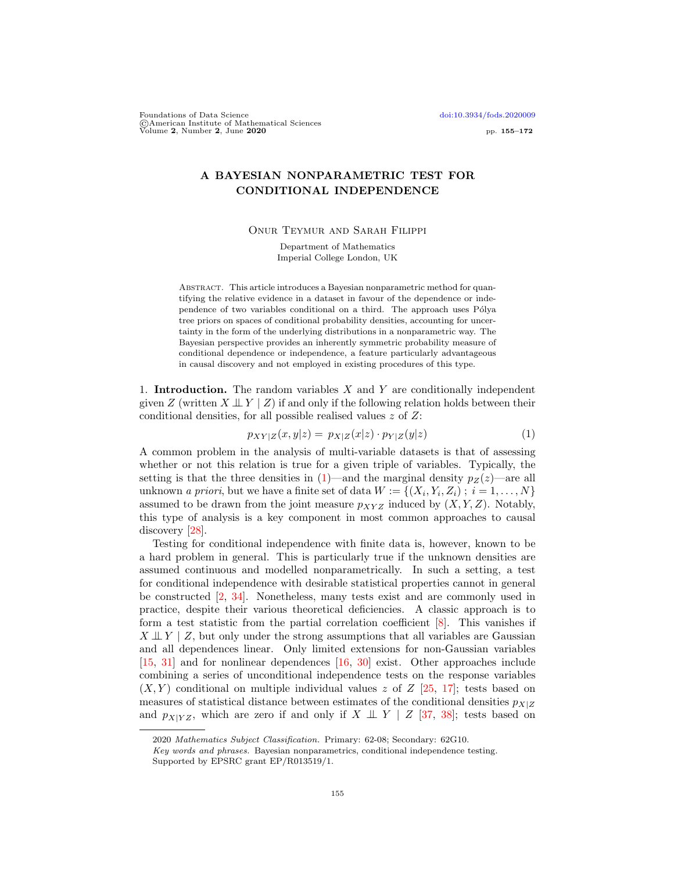Foundations of Data Science [doi:10.3934/fods.2020009](http://dx.doi.org/10.3934/fods.2020009) ©American Institute of Mathematical Sciences Volume 2, Number 2, June 2020 pp. 155–172

#### A BAYESIAN NONPARAMETRIC TEST FOR CONDITIONAL INDEPENDENCE

Onur Teymur and Sarah Filippi

Department of Mathematics Imperial College London, UK

Abstract. This article introduces a Bayesian nonparametric method for quantifying the relative evidence in a dataset in favour of the dependence or independence of two variables conditional on a third. The approach uses Pólya tree priors on spaces of conditional probability densities, accounting for uncertainty in the form of the underlying distributions in a nonparametric way. The Bayesian perspective provides an inherently symmetric probability measure of conditional dependence or independence, a feature particularly advantageous in causal discovery and not employed in existing procedures of this type.

1. **Introduction.** The random variables  $X$  and  $Y$  are conditionally independent given Z (written  $X \perp \!\!\!\perp Y \mid Z$ ) if and only if the following relation holds between their conditional densities, for all possible realised values  $z$  of  $Z$ :

$$
p_{XY|Z}(x,y|z) = p_{X|Z}(x|z) \cdot p_{Y|Z}(y|z)
$$
\n(1)

A common problem in the analysis of multi-variable datasets is that of assessing whether or not this relation is true for a given triple of variables. Typically, the setting is that the three densities in  $(1)$ —and the marginal density  $p_Z(z)$ —are all unknown *a priori*, but we have a finite set of data  $W := \{(X_i, Y_i, Z_i) ; i = 1, ..., N\}$ assumed to be drawn from the joint measure  $p_{XYZ}$  induced by  $(X, Y, Z)$ . Notably, this type of analysis is a key component in most common approaches to causal discovery [28].

Testing for conditional independence with finite data is, however, known to be a hard problem in general. This is particularly true if the unknown densities are assumed continuous and modelled nonparametrically. In such a setting, a test for conditional independence with desirable statistical properties cannot in general be constructed [2, 34]. Nonetheless, many tests exist and are commonly used in practice, despite their various theoretical deficiencies. A classic approach is to form a test statistic from the partial correlation coefficient [8]. This vanishes if  $X \perp \!\!\!\perp Y \mid Z$ , but only under the strong assumptions that all variables are Gaussian and all dependences linear. Only limited extensions for non-Gaussian variables [15, 31] and for nonlinear dependences [16, 30] exist. Other approaches include combining a series of unconditional independence tests on the response variables  $(X, Y)$  conditional on multiple individual values z of Z [25, 17]; tests based on measures of statistical distance between estimates of the conditional densities  $p_{X|Z}$ and  $p_{X|YZ}$ , which are zero if and only if  $X \perp \!\!\!\perp Y \mid Z$  [37, 38]; tests based on

<sup>2020</sup> Mathematics Subject Classification. Primary: 62-08; Secondary: 62G10.

Key words and phrases. Bayesian nonparametrics, conditional independence testing.

Supported by EPSRC grant EP/R013519/1.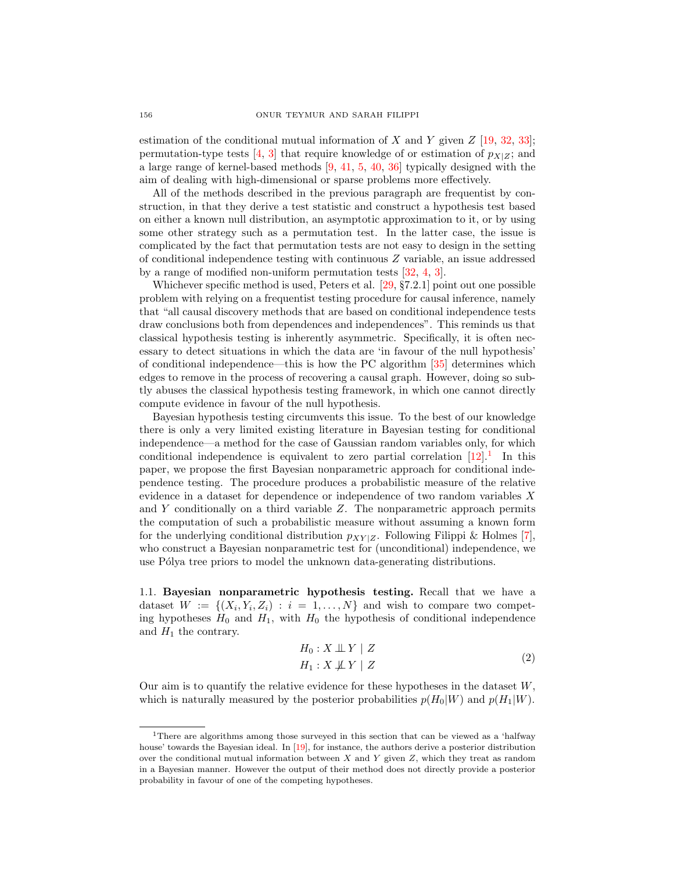estimation of the conditional mutual information of X and Y given  $Z$  [19, 32, 33]; permutation-type tests [4, 3] that require knowledge of or estimation of  $p_{X|Z}$ ; and a large range of kernel-based methods [9, 41, 5, 40, 36] typically designed with the aim of dealing with high-dimensional or sparse problems more effectively.

All of the methods described in the previous paragraph are frequentist by construction, in that they derive a test statistic and construct a hypothesis test based on either a known null distribution, an asymptotic approximation to it, or by using some other strategy such as a permutation test. In the latter case, the issue is complicated by the fact that permutation tests are not easy to design in the setting of conditional independence testing with continuous Z variable, an issue addressed by a range of modified non-uniform permutation tests [32, 4, 3].

Whichever specific method is used, Peters et al. [29, §7.2.1] point out one possible problem with relying on a frequentist testing procedure for causal inference, namely that "all causal discovery methods that are based on conditional independence tests draw conclusions both from dependences and independences". This reminds us that classical hypothesis testing is inherently asymmetric. Specifically, it is often necessary to detect situations in which the data are 'in favour of the null hypothesis' of conditional independence—this is how the PC algorithm [35] determines which edges to remove in the process of recovering a causal graph. However, doing so subtly abuses the classical hypothesis testing framework, in which one cannot directly compute evidence in favour of the null hypothesis.

Bayesian hypothesis testing circumvents this issue. To the best of our knowledge there is only a very limited existing literature in Bayesian testing for conditional independence—a method for the case of Gaussian random variables only, for which conditional independence is equivalent to zero partial correlation  $[12]$ <sup>1</sup>. In this paper, we propose the first Bayesian nonparametric approach for conditional independence testing. The procedure produces a probabilistic measure of the relative evidence in a dataset for dependence or independence of two random variables X and  $Y$  conditionally on a third variable  $Z$ . The nonparametric approach permits the computation of such a probabilistic measure without assuming a known form for the underlying conditional distribution  $p_{XY|Z}$ . Following Filippi & Holmes [7], who construct a Bayesian nonparametric test for (unconditional) independence, we use Pólya tree priors to model the unknown data-generating distributions.

1.1. Bayesian nonparametric hypothesis testing. Recall that we have a dataset  $W := \{(X_i, Y_i, Z_i) : i = 1, \ldots, N\}$  and wish to compare two competing hypotheses  $H_0$  and  $H_1$ , with  $H_0$  the hypothesis of conditional independence and  $H_1$  the contrary.

$$
H_0: X \perp \!\!\!\perp Y \mid Z
$$
  
\n
$$
H_1: X \not\!\!\perp Y \mid Z
$$
\n(2)

Our aim is to quantify the relative evidence for these hypotheses in the dataset  $W$ . which is naturally measured by the posterior probabilities  $p(H_0|W)$  and  $p(H_1|W)$ .

<sup>&</sup>lt;sup>1</sup>There are algorithms among those surveyed in this section that can be viewed as a 'halfway house' towards the Bayesian ideal. In [19], for instance, the authors derive a posterior distribution over the conditional mutual information between  $X$  and  $Y$  given  $Z$ , which they treat as random in a Bayesian manner. However the output of their method does not directly provide a posterior probability in favour of one of the competing hypotheses.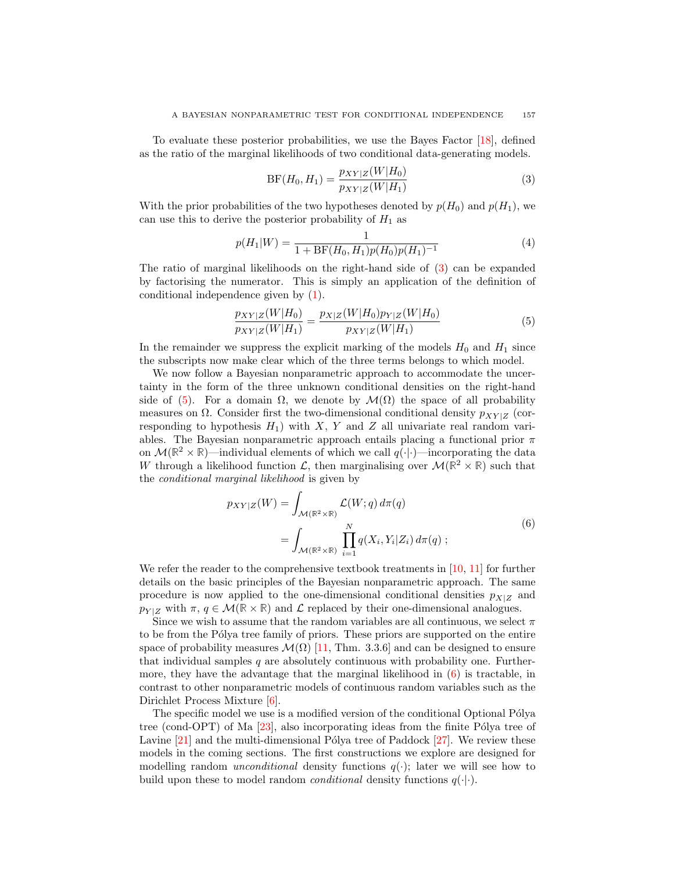To evaluate these posterior probabilities, we use the Bayes Factor [18], defined as the ratio of the marginal likelihoods of two conditional data-generating models.

$$
BF(H_0, H_1) = \frac{p_{XY|Z}(W|H_0)}{p_{XY|Z}(W|H_1)}
$$
\n(3)

With the prior probabilities of the two hypotheses denoted by  $p(H_0)$  and  $p(H_1)$ , we can use this to derive the posterior probability of  $H_1$  as

$$
p(H_1|W) = \frac{1}{1 + \text{BF}(H_0, H_1)p(H_0)p(H_1)^{-1}}
$$
\n(4)

The ratio of marginal likelihoods on the right-hand side of (3) can be expanded by factorising the numerator. This is simply an application of the definition of conditional independence given by (1).

$$
\frac{p_{XY|Z}(W|H_0)}{p_{XY|Z}(W|H_1)} = \frac{p_{X|Z}(W|H_0)p_{Y|Z}(W|H_0)}{p_{XY|Z}(W|H_1)}
$$
(5)

In the remainder we suppress the explicit marking of the models  $H_0$  and  $H_1$  since the subscripts now make clear which of the three terms belongs to which model.

We now follow a Bayesian nonparametric approach to accommodate the uncertainty in the form of the three unknown conditional densities on the right-hand side of (5). For a domain  $\Omega$ , we denote by  $\mathcal{M}(\Omega)$  the space of all probability measures on  $\Omega$ . Consider first the two-dimensional conditional density  $p_{XY|Z}$  (corresponding to hypothesis  $H_1$ ) with X, Y and Z all univariate real random variables. The Bayesian nonparametric approach entails placing a functional prior  $\pi$ on  $\mathcal{M}(\mathbb{R}^2 \times \mathbb{R})$ —individual elements of which we call  $q(\cdot|\cdot)$ —incorporating the data W through a likelihood function  $\mathcal{L}$ , then marginalising over  $\mathcal{M}(\mathbb{R}^2 \times \mathbb{R})$  such that the conditional marginal likelihood is given by

$$
p_{XY|Z}(W) = \int_{\mathcal{M}(\mathbb{R}^2 \times \mathbb{R})} \mathcal{L}(W; q) d\pi(q)
$$
  
= 
$$
\int_{\mathcal{M}(\mathbb{R}^2 \times \mathbb{R})} \prod_{i=1}^N q(X_i, Y_i | Z_i) d\pi(q) ;
$$
 (6)

We refer the reader to the comprehensive textbook treatments in [10, 11] for further details on the basic principles of the Bayesian nonparametric approach. The same procedure is now applied to the one-dimensional conditional densities  $p_{X|Z}$  and  $p_{Y|Z}$  with  $\pi, q \in \mathcal{M}(\mathbb{R} \times \mathbb{R})$  and  $\mathcal{L}$  replaced by their one-dimensional analogues.

Since we wish to assume that the random variables are all continuous, we select  $\pi$ to be from the Pólya tree family of priors. These priors are supported on the entire space of probability measures  $\mathcal{M}(\Omega)$  [11, Thm. 3.3.6] and can be designed to ensure that individual samples  $q$  are absolutely continuous with probability one. Furthermore, they have the advantage that the marginal likelihood in  $(6)$  is tractable, in contrast to other nonparametric models of continuous random variables such as the Dirichlet Process Mixture [6].

The specific model we use is a modified version of the conditional Optional Pólya tree (cond-OPT) of Ma  $[23]$ , also incorporating ideas from the finite Pólya tree of Lavine  $[21]$  and the multi-dimensional Pólya tree of Paddock  $[27]$ . We review these models in the coming sections. The first constructions we explore are designed for modelling random *unconditional* density functions  $q(\cdot)$ ; later we will see how to build upon these to model random *conditional* density functions  $q(\cdot|\cdot)$ .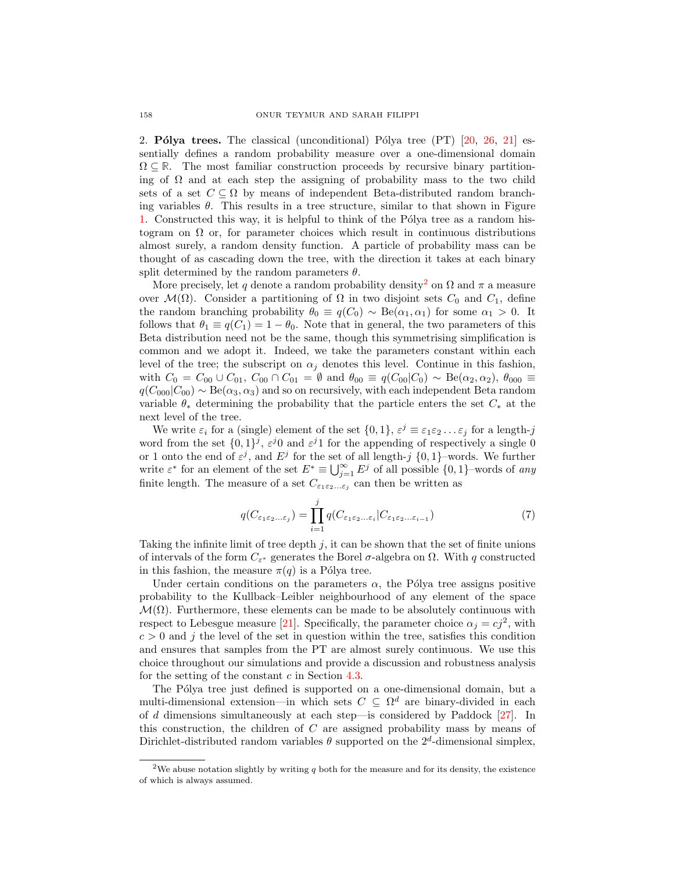2. **Pólya trees.** The classical (unconditional) Pólya tree  $(PT)$  [20, 26, 21] essentially defines a random probability measure over a one-dimensional domain  $\Omega \subseteq \mathbb{R}$ . The most familiar construction proceeds by recursive binary partitioning of  $\Omega$  and at each step the assigning of probability mass to the two child sets of a set  $C \subseteq \Omega$  by means of independent Beta-distributed random branching variables  $\theta$ . This results in a tree structure, similar to that shown in Figure 1. Constructed this way, it is helpful to think of the Pólya tree as a random histogram on  $\Omega$  or, for parameter choices which result in continuous distributions almost surely, a random density function. A particle of probability mass can be thought of as cascading down the tree, with the direction it takes at each binary split determined by the random parameters  $\theta$ .

More precisely, let q denote a random probability density<sup>2</sup> on  $\Omega$  and  $\pi$  a measure over  $\mathcal{M}(\Omega)$ . Consider a partitioning of  $\Omega$  in two disjoint sets  $C_0$  and  $C_1$ , define the random branching probability  $\theta_0 \equiv q(C_0) \sim \text{Be}(\alpha_1, \alpha_1)$  for some  $\alpha_1 > 0$ . It follows that  $\theta_1 \equiv q(C_1) = 1 - \theta_0$ . Note that in general, the two parameters of this Beta distribution need not be the same, though this symmetrising simplification is common and we adopt it. Indeed, we take the parameters constant within each level of the tree; the subscript on  $\alpha_i$  denotes this level. Continue in this fashion, with  $C_0 = C_{00} \cup C_{01}$ ,  $C_{00} \cap C_{01} = \emptyset$  and  $\theta_{00} \equiv q(C_{00}|C_0) \sim \text{Be}(\alpha_2, \alpha_2)$ ,  $\theta_{000} \equiv$  $q(C_{000}|C_{00}) \sim \text{Be}(\alpha_3, \alpha_3)$  and so on recursively, with each independent Beta random variable  $\theta_*$  determining the probability that the particle enters the set  $C_*$  at the next level of the tree.

We write  $\varepsilon_i$  for a (single) element of the set  $\{0,1\}$ ,  $\varepsilon^j \equiv \varepsilon_1 \varepsilon_2 \dots \varepsilon_j$  for a length-j word from the set  $\{0,1\}^j$ ,  $\varepsilon^j 0$  and  $\varepsilon^j 1$  for the appending of respectively a single 0 or 1 onto the end of  $\varepsilon^j$ , and  $E^j$  for the set of all length-j  $\{0,1\}$ -words. We further write  $\varepsilon^*$  for an element of the set  $E^* \equiv \bigcup_{j=1}^{\infty} E^j$  of all possible  $\{0,1\}$ -words of any finite length. The measure of a set  $C_{\varepsilon_1\varepsilon_2...\varepsilon_j}$  can then be written as

$$
q(C_{\varepsilon_1\varepsilon_2\ldots\varepsilon_j}) = \prod_{i=1}^j q(C_{\varepsilon_1\varepsilon_2\ldots\varepsilon_i}|C_{\varepsilon_1\varepsilon_2\ldots\varepsilon_{i-1}})
$$
(7)

Taking the infinite limit of tree depth  $j$ , it can be shown that the set of finite unions of intervals of the form  $C_{\varepsilon^*}$  generates the Borel  $\sigma$ -algebra on  $\Omega$ . With q constructed in this fashion, the measure  $\pi(q)$  is a Pólya tree.

Under certain conditions on the parameters  $\alpha$ , the Pólya tree assigns positive probability to the Kullback–Leibler neighbourhood of any element of the space  $\mathcal{M}(\Omega)$ . Furthermore, these elements can be made to be absolutely continuous with respect to Lebesgue measure [21]. Specifically, the parameter choice  $\alpha_j = cj^2$ , with  $c > 0$  and j the level of the set in question within the tree, satisfies this condition and ensures that samples from the PT are almost surely continuous. We use this choice throughout our simulations and provide a discussion and robustness analysis for the setting of the constant  $c$  in Section 4.3.

The Pólya tree just defined is supported on a one-dimensional domain, but a multi-dimensional extension—in which sets  $C \subseteq \Omega^d$  are binary-divided in each of d dimensions simultaneously at each step—is considered by Paddock [27]. In this construction, the children of C are assigned probability mass by means of Dirichlet-distributed random variables  $\theta$  supported on the  $2^d$ -dimensional simplex,

<sup>&</sup>lt;sup>2</sup>We abuse notation slightly by writing  $q$  both for the measure and for its density, the existence of which is always assumed.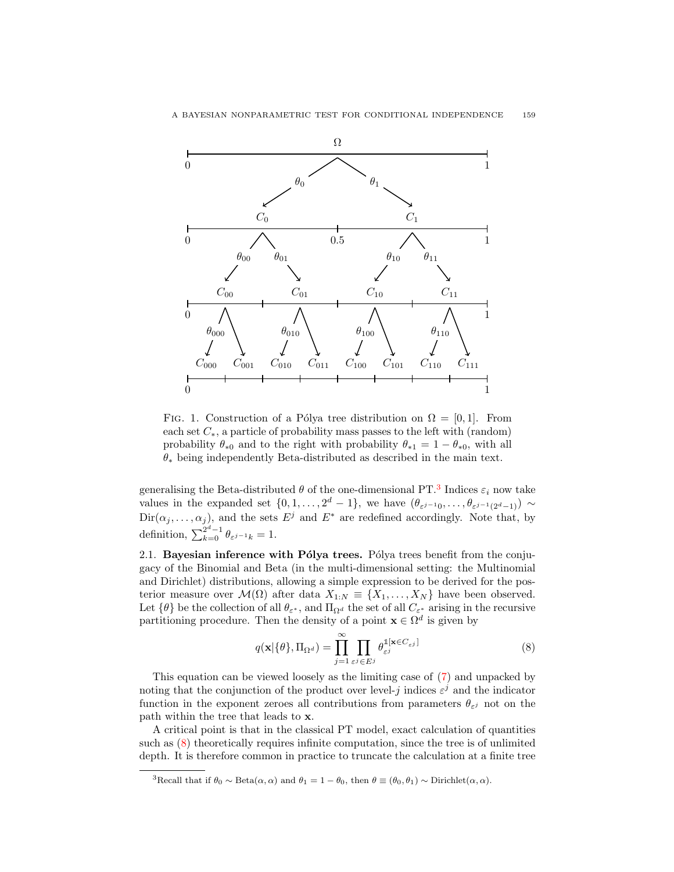

FIG. 1. Construction of a Pólya tree distribution on  $\Omega = [0, 1]$ . From each set  $C_*$ , a particle of probability mass passes to the left with (random) probability  $\theta_{*0}$  and to the right with probability  $\theta_{*1} = 1 - \theta_{*0}$ , with all  $\theta_*$  being independently Beta-distributed as described in the main text.

generalising the Beta-distributed  $\theta$  of the one-dimensional PT.<sup>3</sup> Indices  $\varepsilon_i$  now take values in the expanded set  $\{0, 1, \ldots, 2^d - 1\}$ , we have  $(\theta_{\varepsilon^{j-1}0}, \ldots, \theta_{\varepsilon^{j-1}(2^d-1)}) \sim$  $\text{Dir}(\alpha_j, \ldots, \alpha_j)$ , and the sets  $E^j$  and  $E^*$  are redefined accordingly. Note that, by definition,  $\sum_{k=0}^{2^d-1} \theta_{\varepsilon^{j-1}k} = 1.$ 

2.1. Bayesian inference with  $P_0$  at rees. P<sub>o</sub> $\alpha$  trees benefit from the conjugacy of the Binomial and Beta (in the multi-dimensional setting: the Multinomial and Dirichlet) distributions, allowing a simple expression to be derived for the posterior measure over  $\mathcal{M}(\Omega)$  after data  $X_{1:N} \equiv \{X_1, \ldots, X_N\}$  have been observed. Let  $\{\theta\}$  be the collection of all  $\theta_{\varepsilon^*}$ , and  $\Pi_{\Omega^d}$  the set of all  $C_{\varepsilon^*}$  arising in the recursive partitioning procedure. Then the density of a point  $\mathbf{x} \in \Omega^d$  is given by

$$
q(\mathbf{x}|\{\theta\}, \Pi_{\Omega^d}) = \prod_{j=1}^{\infty} \prod_{\varepsilon^j \in E^j} \theta_{\varepsilon^j}^{\mathbb{1}[\mathbf{x} \in C_{\varepsilon^j}]} \tag{8}
$$

This equation can be viewed loosely as the limiting case of (7) and unpacked by noting that the conjunction of the product over level-j indices  $\varepsilon^j$  and the indicator function in the exponent zeroes all contributions from parameters  $\theta_{\varepsilon}$  not on the path within the tree that leads to x.

A critical point is that in the classical PT model, exact calculation of quantities such as (8) theoretically requires infinite computation, since the tree is of unlimited depth. It is therefore common in practice to truncate the calculation at a finite tree

<sup>&</sup>lt;sup>3</sup>Recall that if  $\theta_0 \sim \text{Beta}(\alpha, \alpha)$  and  $\theta_1 = 1 - \theta_0$ , then  $\theta \equiv (\theta_0, \theta_1) \sim \text{Dirichlet}(\alpha, \alpha)$ .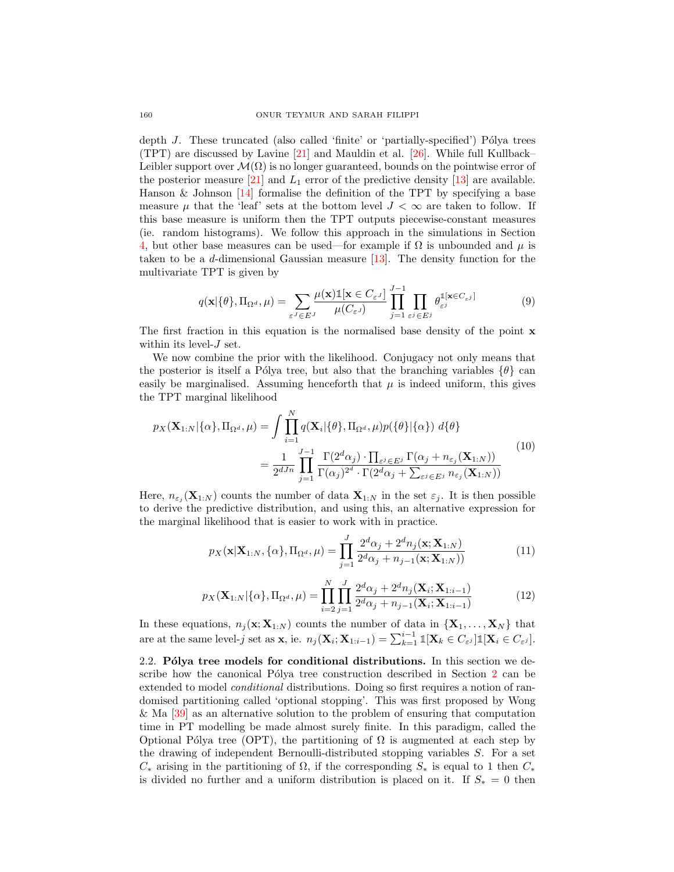depth  $J$ . These truncated (also called 'finite' or 'partially-specified') Pólya trees (TPT) are discussed by Lavine [21] and Mauldin et al. [26]. While full Kullback– Leibler support over  $\mathcal{M}(\Omega)$  is no longer guaranteed, bounds on the pointwise error of the posterior measure [21] and  $L_1$  error of the predictive density [13] are available. Hanson  $\&$  Johnson [14] formalise the definition of the TPT by specifying a base measure  $\mu$  that the 'leaf' sets at the bottom level  $J < \infty$  are taken to follow. If this base measure is uniform then the TPT outputs piecewise-constant measures (ie. random histograms). We follow this approach in the simulations in Section 4, but other base measures can be used—for example if  $\Omega$  is unbounded and  $\mu$  is taken to be a d-dimensional Gaussian measure [13]. The density function for the multivariate TPT is given by

$$
q(\mathbf{x}|\{\theta\}, \Pi_{\Omega^d}, \mu) = \sum_{\varepsilon^J \in E^J} \frac{\mu(\mathbf{x}) \mathbb{1}[\mathbf{x} \in C_{\varepsilon^J}]}{\mu(C_{\varepsilon^J})} \prod_{j=1}^{J-1} \prod_{\varepsilon^j \in E^j} \theta_{\varepsilon^j}^{\mathbb{1}[\mathbf{x} \in C_{\varepsilon^j}]} \tag{9}
$$

The first fraction in this equation is the normalised base density of the point  $\bf{x}$ within its level- $J$  set.

We now combine the prior with the likelihood. Conjugacy not only means that the posterior is itself a Pólya tree, but also that the branching variables  $\{\theta\}$  can easily be marginalised. Assuming henceforth that  $\mu$  is indeed uniform, this gives the TPT marginal likelihood

$$
p_X(\mathbf{X}_{1:N}|\{\alpha\},\Pi_{\Omega^d},\mu) = \int \prod_{i=1}^N q(\mathbf{X}_i|\{\theta\},\Pi_{\Omega^d},\mu) p(\{\theta\}|\{\alpha\}) d\{\theta\}
$$
  

$$
= \frac{1}{2^{dJn}} \prod_{j=1}^{J-1} \frac{\Gamma(2^d \alpha_j) \cdot \prod_{\varepsilon^j \in E^j} \Gamma(\alpha_j + n_{\varepsilon_j}(\mathbf{X}_{1:N}))}{\Gamma(\alpha_j)^{2^d} \cdot \Gamma(2^d \alpha_j + \sum_{\varepsilon^j \in E^j} n_{\varepsilon_j}(\mathbf{X}_{1:N}))}
$$
(10)

Here,  $n_{\epsilon_j}(\mathbf{X}_{1:N})$  counts the number of data  $\mathbf{X}_{1:N}$  in the set  $\epsilon_j$ . It is then possible to derive the predictive distribution, and using this, an alternative expression for the marginal likelihood that is easier to work with in practice.

$$
p_X(\mathbf{x}|\mathbf{X}_{1:N}, \{\alpha\}, \Pi_{\Omega^d}, \mu) = \prod_{j=1}^J \frac{2^d \alpha_j + 2^d n_j(\mathbf{x}; \mathbf{X}_{1:N})}{2^d \alpha_j + n_{j-1}(\mathbf{x}; \mathbf{X}_{1:N}))}
$$
(11)

$$
p_X(\mathbf{X}_{1:N}|\{\alpha\},\Pi_{\Omega^d},\mu) = \prod_{i=2}^N \prod_{j=1}^J \frac{2^d \alpha_j + 2^d n_j(\mathbf{X}_i;\mathbf{X}_{1:i-1})}{2^d \alpha_j + n_{j-1}(\mathbf{X}_i;\mathbf{X}_{1:i-1})}
$$
(12)

In these equations,  $n_j(\mathbf{x}; \mathbf{X}_{1:N})$  counts the number of data in  $\{\mathbf{X}_1, \ldots, \mathbf{X}_N\}$  that are at the same level-j set as **x**, ie.  $n_j(\mathbf{X}_i; \mathbf{X}_{1:i-1}) = \sum_{k=1}^{i-1} \mathbb{1}[\mathbf{X}_k \in C_{\varepsilon^j}] \mathbb{1}[\mathbf{X}_i \in C_{\varepsilon^j}]$ .

2.2. Pólya tree models for conditional distributions. In this section we describe how the canonical Pólya tree construction described in Section 2 can be extended to model *conditional* distributions. Doing so first requires a notion of randomised partitioning called 'optional stopping'. This was first proposed by Wong & Ma [39] as an alternative solution to the problem of ensuring that computation time in PT modelling be made almost surely finite. In this paradigm, called the Optional Pólya tree (OPT), the partitioning of  $\Omega$  is augmented at each step by the drawing of independent Bernoulli-distributed stopping variables S. For a set  $C_*$  arising in the partitioning of  $\Omega$ , if the corresponding  $S_*$  is equal to 1 then  $C_*$ is divided no further and a uniform distribution is placed on it. If  $S_* = 0$  then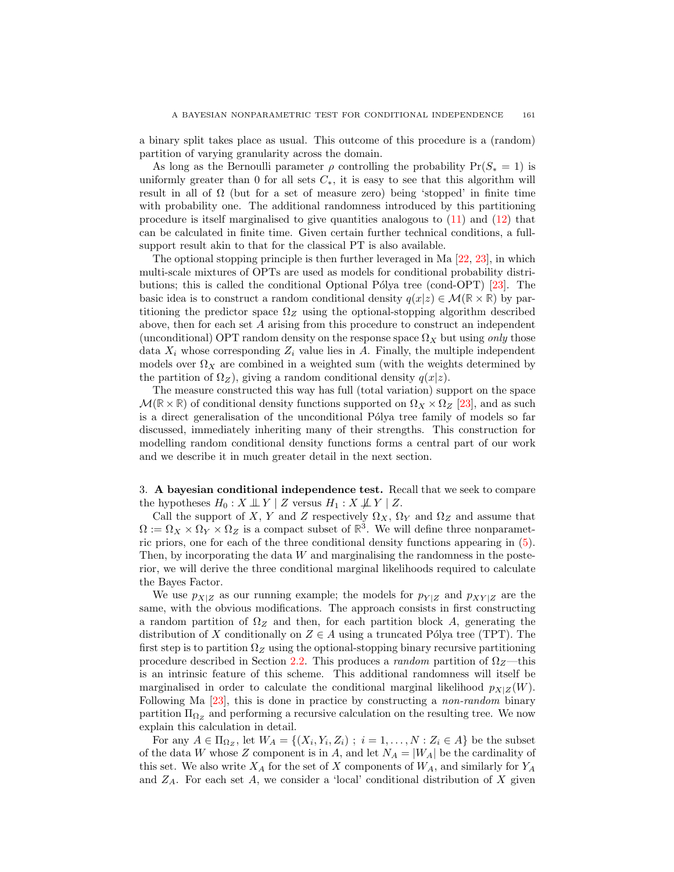a binary split takes place as usual. This outcome of this procedure is a (random) partition of varying granularity across the domain.

As long as the Bernoulli parameter  $\rho$  controlling the probability  $Pr(S_* = 1)$  is uniformly greater than 0 for all sets  $C_*,$  it is easy to see that this algorithm will result in all of  $\Omega$  (but for a set of measure zero) being 'stopped' in finite time with probability one. The additional randomness introduced by this partitioning procedure is itself marginalised to give quantities analogous to  $(11)$  and  $(12)$  that can be calculated in finite time. Given certain further technical conditions, a fullsupport result akin to that for the classical PT is also available.

The optional stopping principle is then further leveraged in Ma [22, 23], in which multi-scale mixtures of OPTs are used as models for conditional probability distributions; this is called the conditional Optional Pólya tree (cond-OPT)  $[23]$ . The basic idea is to construct a random conditional density  $q(x|z) \in \mathcal{M}(\mathbb{R} \times \mathbb{R})$  by partitioning the predictor space  $\Omega_Z$  using the optional-stopping algorithm described above, then for each set A arising from this procedure to construct an independent (unconditional) OPT random density on the response space  $\Omega_X$  but using only those data  $X_i$  whose corresponding  $Z_i$  value lies in A. Finally, the multiple independent models over  $\Omega_X$  are combined in a weighted sum (with the weights determined by the partition of  $\Omega_Z$ ), giving a random conditional density  $q(x|z)$ .

The measure constructed this way has full (total variation) support on the space  $\mathcal{M}(\mathbb{R}\times\mathbb{R})$  of conditional density functions supported on  $\Omega_X\times\Omega_Z$  [23], and as such is a direct generalisation of the unconditional Pólya tree family of models so far discussed, immediately inheriting many of their strengths. This construction for modelling random conditional density functions forms a central part of our work and we describe it in much greater detail in the next section.

3. A bayesian conditional independence test. Recall that we seek to compare the hypotheses  $H_0 : X \perp \!\!\!\perp Y \mid Z$  versus  $H_1 : X \not\!\!\!\perp Y \mid Z$ .

Call the support of X, Y and Z respectively  $\Omega_X$ ,  $\Omega_Y$  and  $\Omega_Z$  and assume that  $\Omega := \Omega_X \times \Omega_Y \times \Omega_Z$  is a compact subset of  $\mathbb{R}^3$ . We will define three nonparametric priors, one for each of the three conditional density functions appearing in (5). Then, by incorporating the data  $W$  and marginalising the randomness in the posterior, we will derive the three conditional marginal likelihoods required to calculate the Bayes Factor.

We use  $p_{X|Z}$  as our running example; the models for  $p_{Y|Z}$  and  $p_{XY|Z}$  are the same, with the obvious modifications. The approach consists in first constructing a random partition of  $\Omega_Z$  and then, for each partition block A, generating the distribution of X conditionally on  $Z \in A$  using a truncated Pólya tree (TPT). The first step is to partition  $\Omega_Z$  using the optional-stopping binary recursive partitioning procedure described in Section 2.2. This produces a random partition of  $\Omega$ <sub>Z</sub>—this is an intrinsic feature of this scheme. This additional randomness will itself be marginalised in order to calculate the conditional marginal likelihood  $p_{X|Z}(W)$ . Following Ma [23], this is done in practice by constructing a non-random binary partition  $\Pi_{\Omega_Z}$  and performing a recursive calculation on the resulting tree. We now explain this calculation in detail.

For any  $A \in \Pi_{\Omega_Z}$ , let  $W_A = \{(X_i, Y_i, Z_i) ; i = 1, ..., N : Z_i \in A\}$  be the subset of the data W whose Z component is in A, and let  $N_A = |W_A|$  be the cardinality of this set. We also write  $X_A$  for the set of X components of  $W_A$ , and similarly for  $Y_A$ and  $Z_A$ . For each set A, we consider a 'local' conditional distribution of X given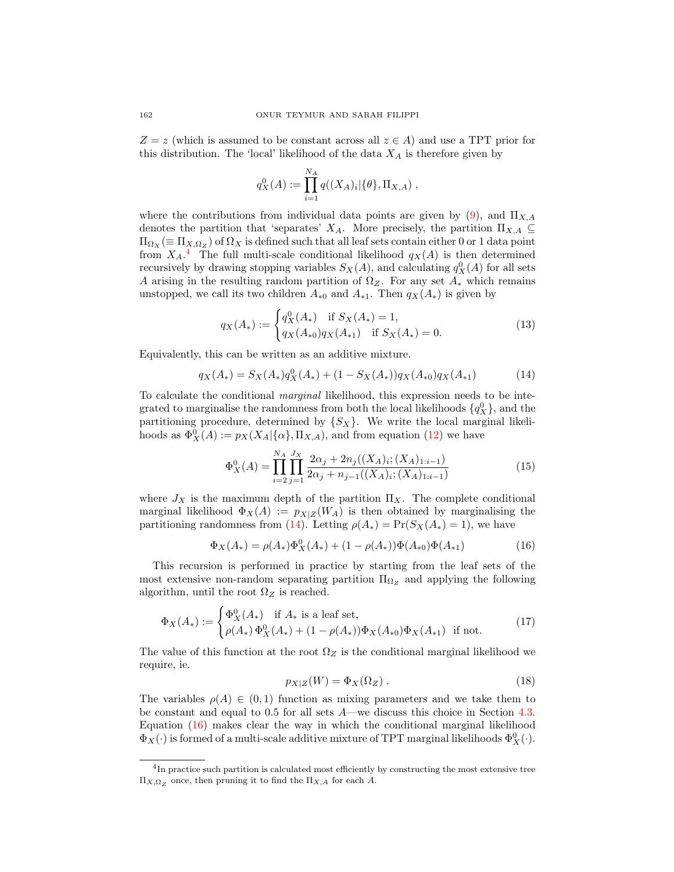$Z = z$  (which is assumed to be constant across all  $z \in A$ ) and use a TPT prior for this distribution. The 'local' likelihood of the data  $X_A$  is therefore given by

$$
q_X^0(A) := \prod_{i=1}^{N_A} q((X_A)_i | \{\theta\}, \Pi_{X,A}) ,
$$

where the contributions from individual data points are given by  $(9)$ , and  $\Pi_{X,A}$ denotes the partition that 'separates'  $X_A$ . More precisely, the partition  $\Pi_{X,A} \subseteq$  $\Pi_{\Omega_X}(\equiv \Pi_{X,\Omega_Z})$  of  $\Omega_X$  is defined such that all leaf sets contain either 0 or 1 data point from  $X_A$ <sup>4</sup>. The full multi-scale conditional likelihood  $q_X(A)$  is then determined recursively by drawing stopping variables  $S_X(A)$ , and calculating  $q_X^0(A)$  for all sets A arising in the resulting random partition of  $\Omega_Z$ . For any set  $A_*$  which remains unstopped, we call its two children  $A_{*0}$  and  $A_{*1}$ . Then  $q_X(A_*)$  is given by

$$
q_X(A_*) := \begin{cases} q_X^0(A_*) & \text{if } S_X(A_*) = 1, \\ q_X(A_{*0})q_X(A_{*1}) & \text{if } S_X(A_*) = 0. \end{cases}
$$
(13)

Equivalently, this can be written as an additive mixture.

$$
q_X(A_*) = S_X(A_*)q_X^0(A_*) + (1 - S_X(A_*))q_X(A_{*0})q_X(A_{*1})
$$
\n(14)

To calculate the conditional marginal likelihood, this expression needs to be integrated to marginalise the randomness from both the local likelihoods  $\{q_X^0\}$ , and the partitioning procedure, determined by  $\{S_X\}$ . We write the local marginal likelihoods as  $\Phi_X^0(A) := p_X(X_A | {\alpha}, \Pi_{X,A})$ , and from equation (12) we have

$$
\Phi_X^0(A) = \prod_{i=2}^{N_A} \prod_{j=1}^{J_X} \frac{2\alpha_j + 2n_j((X_A)_i; (X_A)_{1:i-1})}{2\alpha_j + n_{j-1}((X_A)_i; (X_A)_{1:i-1})}
$$
(15)

where  $J_X$  is the maximum depth of the partition  $\Pi_X$ . The complete conditional marginal likelihood  $\Phi_X(A) := p_{X|Z}(W_A)$  is then obtained by marginalising the partitioning randomness from (14). Letting  $\rho(A_*) = \Pr(S_X(A_*) = 1)$ , we have

$$
\Phi_X(A_*) = \rho(A_*)\Phi_X^0(A_*) + (1 - \rho(A_*))\Phi(A_{*0})\Phi(A_{*1})
$$
\n(16)

This recursion is performed in practice by starting from the leaf sets of the most extensive non-random separating partition  $\Pi_{\Omega_Z}$  and applying the following algorithm, until the root  $\Omega_Z$  is reached.

$$
\Phi_X(A_*) := \begin{cases} \Phi_X^0(A_*) & \text{if } A_* \text{ is a leaf set,} \\ \rho(A_*) \Phi_X^0(A_*) + (1 - \rho(A_*)) \Phi_X(A_{*0}) \Phi_X(A_{*1}) & \text{if not.} \end{cases}
$$
(17)

The value of this function at the root  $\Omega_Z$  is the conditional marginal likelihood we require, ie.

$$
p_{X|Z}(W) = \Phi_X(\Omega_Z) . \tag{18}
$$

The variables  $\rho(A) \in (0,1)$  function as mixing parameters and we take them to be constant and equal to 0.5 for all sets A—we discuss this choice in Section 4.3. Equation (16) makes clear the way in which the conditional marginal likelihood  $\Phi_X(\cdot)$  is formed of a multi-scale additive mixture of TPT marginal likelihoods  $\Phi_X^0(\cdot)$ .

<sup>&</sup>lt;sup>4</sup>In practice such partition is calculated most efficiently by constructing the most extensive tree  $\Pi_{X,\Omega_Z}$  once, then pruning it to find the  $\Pi_{X,A}$  for each A.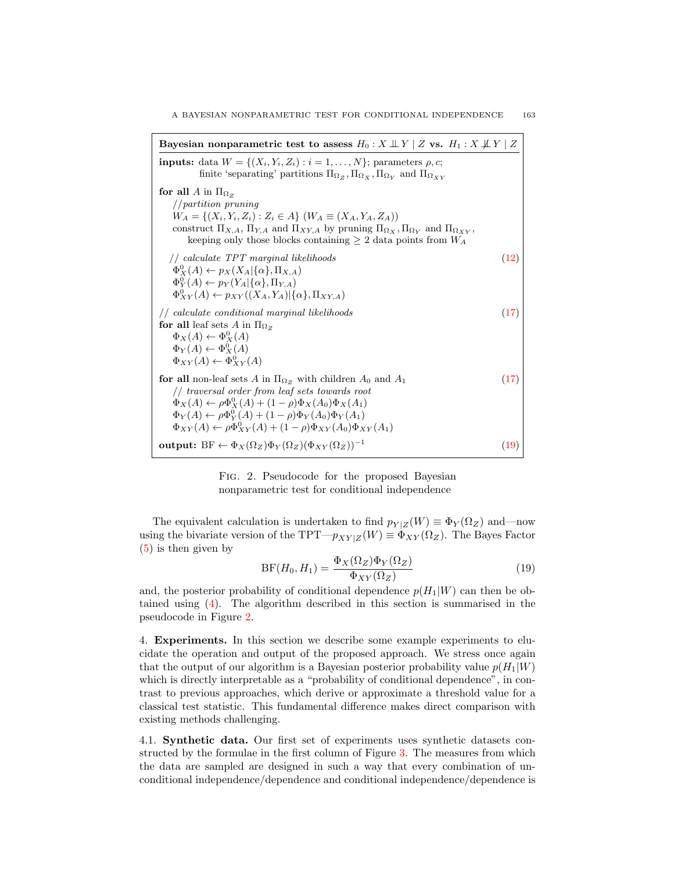Bayesian nonparametric test to assess  $H_0 : X \perp \!\!\! \perp Y \mid Z$  vs.  $H_1 : X \not\!\! \perp Y \mid Z$ inputs: data  $W = \{(X_i, Y_i, Z_i) : i = 1, \ldots, N\}$ ; parameters  $\rho, c$ ; finite 'separating' partitions  $\Pi_{\Omega_Z}, \Pi_{\Omega_X}, \Pi_{\Omega_Y}$  and  $\Pi_{\Omega_{XY}}$ for all  $A$  in  $\Pi_{\Omega_Z}$ //partition pruning  $W_A = \{(X_i, Y_i, Z_i) : Z_i \in A\}$   $(W_A \equiv (X_A, Y_A, Z_A))$ construct  $\Pi_{X,A}$ ,  $\Pi_{Y,A}$  and  $\Pi_{XY,A}$  by pruning  $\Pi_{\Omega_X}, \Pi_{\Omega_Y}$  and  $\Pi_{\Omega_{XY}},$ keeping only those blocks containing  $\geq 2$  data points from  $W_A$ // calculate TPT marginal likelihoods (12)  $\Phi_X^0(A) \leftarrow p_X(X_A | {\alpha}, \Pi_{X,A})$  $\Phi_Y^0(A) \leftarrow p_Y(Y_A | {\alpha}, \Pi_{Y,A})$  $\Phi^0_{XY}(A) \leftarrow p_{XY}((X_A, Y_A)|\{\alpha\}, \Pi_{XY,A})$ // calculate conditional marginal likelihoods (17) for all leaf sets A in  $\Pi_{\Omega_Z}$  $\Phi_X(A) \leftarrow \Phi^0_X(A)$  $\Phi_Y(A) \leftarrow \Phi^0_X(A)$  $\Phi_{XY}(A) \leftarrow \Phi^0_{XY}(A)$ for all non-leaf sets A in  $\Pi_{\Omega_Z}$  with children  $A_0$  and  $A_1$  (17) // traversal order from leaf sets towards root  $\Phi_X(A) \leftarrow \rho \Phi_X^0(A) + (1 - \rho) \Phi_X(A_0) \Phi_X(A_1)$  $\Phi_Y(A) \leftarrow \rho \Phi_Y^0(A) + (1 - \rho) \Phi_Y(A_0) \Phi_Y(A_1)$  $\Phi_{XY}(A) \leftarrow \rho \Phi_{XY}^0(A) + (1 - \rho) \Phi_{XY}(A_0) \Phi_{XY}(A_1)$ output:  $BF \leftarrow \Phi_X(\Omega_Z)\Phi_Y(\Omega_Z)(\Phi_{XY}(\Omega_Z))^{-1}$ (19)

> Fig. 2. Pseudocode for the proposed Bayesian nonparametric test for conditional independence

The equivalent calculation is undertaken to find  $p_{Y|Z}(W) \equiv \Phi_Y(\Omega_Z)$  and—now using the bivariate version of the TPT— $p_{XY|Z}(W) \equiv \Phi_{XY}(\Omega_Z)$ . The Bayes Factor (5) is then given by

$$
BF(H_0, H_1) = \frac{\Phi_X(\Omega_Z)\Phi_Y(\Omega_Z)}{\Phi_{XY}(\Omega_Z)}\tag{19}
$$

and, the posterior probability of conditional dependence  $p(H_1|W)$  can then be obtained using (4). The algorithm described in this section is summarised in the pseudocode in Figure 2.

4. Experiments. In this section we describe some example experiments to elucidate the operation and output of the proposed approach. We stress once again that the output of our algorithm is a Bayesian posterior probability value  $p(H_1|W)$ which is directly interpretable as a "probability of conditional dependence", in contrast to previous approaches, which derive or approximate a threshold value for a classical test statistic. This fundamental difference makes direct comparison with existing methods challenging.

4.1. Synthetic data. Our first set of experiments uses synthetic datasets constructed by the formulae in the first column of Figure 3. The measures from which the data are sampled are designed in such a way that every combination of unconditional independence/dependence and conditional independence/dependence is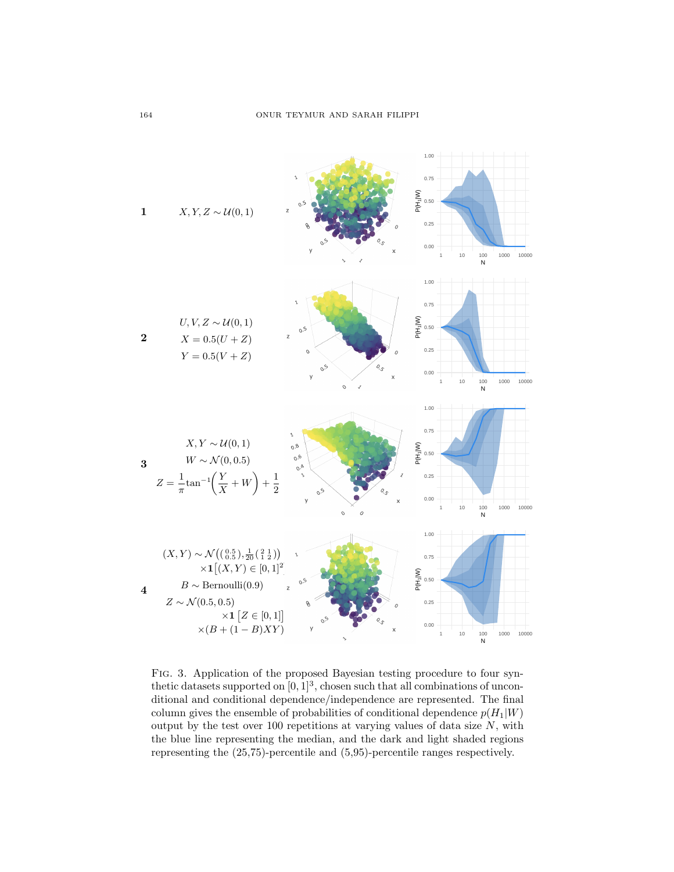

Fig. 3. Application of the proposed Bayesian testing procedure to four synthetic datasets supported on  $[0, 1]^3$ , chosen such that all combinations of unconditional and conditional dependence/independence are represented. The final column gives the ensemble of probabilities of conditional dependence  $p(H_1|W)$ output by the test over 100 repetitions at varying values of data size  $N$ , with the blue line representing the median, and the dark and light shaded regions representing the (25,75)-percentile and (5,95)-percentile ranges respectively.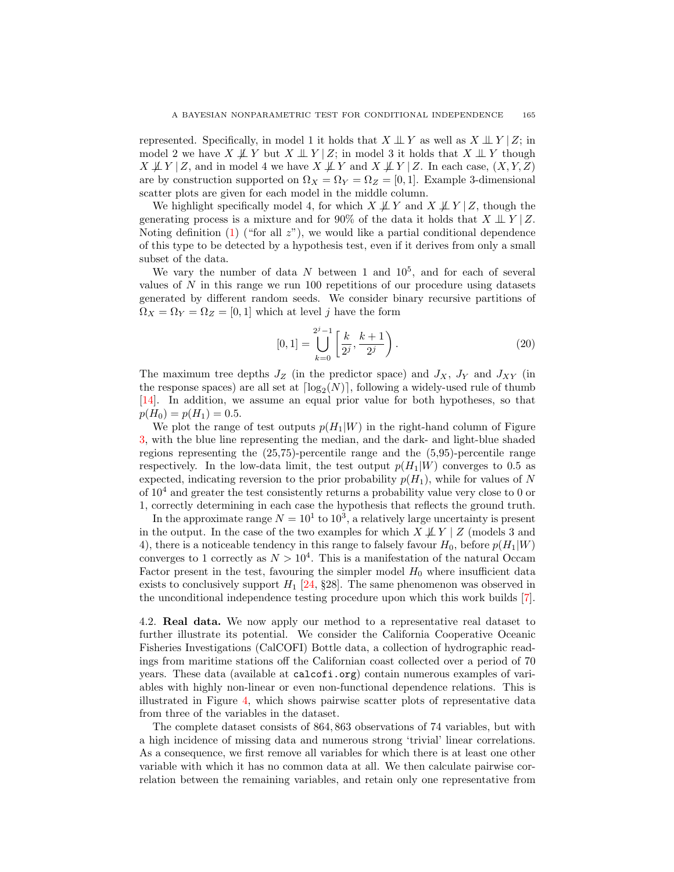represented. Specifically, in model 1 it holds that  $X \perp Y$  as well as  $X \perp Y | Z$ ; in model 2 we have  $X \not\perp Y$  but  $X \perp Y |Z$ ; in model 3 it holds that  $X \perp Y$  though  $X \not\perp Y | Z$ , and in model 4 we have  $X \not\perp Y$  and  $X \not\perp Y | Z$ . In each case,  $(X, Y, Z)$ are by construction supported on  $\Omega_X = \Omega_Y = \Omega_Z = [0, 1]$ . Example 3-dimensional scatter plots are given for each model in the middle column.

We highlight specifically model 4, for which  $X \not\perp Y$  and  $X \not\perp Y |Z$ , though the generating process is a mixture and for 90% of the data it holds that  $X \perp Y/Z$ . Noting definition  $(1)$  ("for all  $z$ "), we would like a partial conditional dependence of this type to be detected by a hypothesis test, even if it derives from only a small subset of the data.

We vary the number of data  $N$  between 1 and  $10^5$ , and for each of several values of  $N$  in this range we run 100 repetitions of our procedure using datasets generated by different random seeds. We consider binary recursive partitions of  $\Omega_X = \Omega_Y = \Omega_Z = [0, 1]$  which at level j have the form

$$
[0,1] = \bigcup_{k=0}^{2^{j}-1} \left[ \frac{k}{2^{j}}, \frac{k+1}{2^{j}} \right).
$$
 (20)

The maximum tree depths  $J_Z$  (in the predictor space) and  $J_X$ ,  $J_Y$  and  $J_{XY}$  (in the response spaces) are all set at  $\lceil \log_2(N) \rceil$ , following a widely-used rule of thumb [14]. In addition, we assume an equal prior value for both hypotheses, so that  $p(H_0) = p(H_1) = 0.5.$ 

We plot the range of test outputs  $p(H_1|W)$  in the right-hand column of Figure 3, with the blue line representing the median, and the dark- and light-blue shaded regions representing the (25,75)-percentile range and the (5,95)-percentile range respectively. In the low-data limit, the test output  $p(H_1|W)$  converges to 0.5 as expected, indicating reversion to the prior probability  $p(H_1)$ , while for values of N of  $10^4$  and greater the test consistently returns a probability value very close to 0 or 1, correctly determining in each case the hypothesis that reflects the ground truth.

In the approximate range  $N = 10<sup>1</sup>$  to  $10<sup>3</sup>$ , a relatively large uncertainty is present in the output. In the case of the two examples for which  $X \not\perp Y \mid Z$  (models 3 and 4), there is a noticeable tendency in this range to falsely favour  $H_0$ , before  $p(H_1|W)$ converges to 1 correctly as  $N > 10^4$ . This is a manifestation of the natural Occam Factor present in the test, favouring the simpler model  $H_0$  where insufficient data exists to conclusively support  $H_1$  [24, §28]. The same phenomenon was observed in the unconditional independence testing procedure upon which this work builds [7].

4.2. Real data. We now apply our method to a representative real dataset to further illustrate its potential. We consider the California Cooperative Oceanic Fisheries Investigations (CalCOFI) Bottle data, a collection of hydrographic readings from maritime stations off the Californian coast collected over a period of 70 years. These data (available at calcofi.org) contain numerous examples of variables with highly non-linear or even non-functional dependence relations. This is illustrated in Figure 4, which shows pairwise scatter plots of representative data from three of the variables in the dataset.

The complete dataset consists of 864, 863 observations of 74 variables, but with a high incidence of missing data and numerous strong 'trivial' linear correlations. As a consequence, we first remove all variables for which there is at least one other variable with which it has no common data at all. We then calculate pairwise correlation between the remaining variables, and retain only one representative from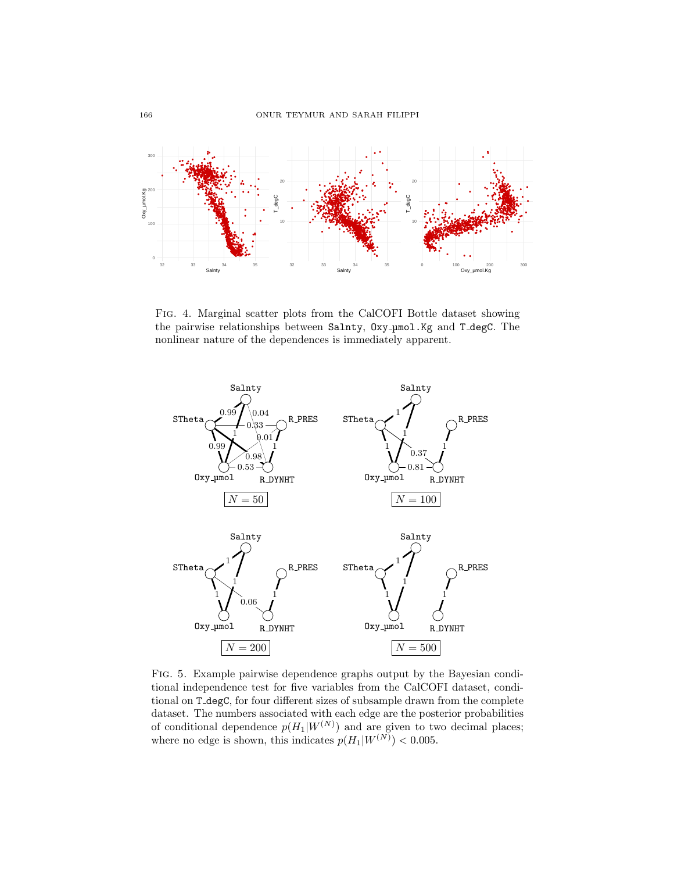

FIG. 4. Marginal scatter plots from the CalCOFI Bottle dataset showing the pairwise relationships between Salnty, Oxy\_umol.Kg and T\_degC. The nonlinear nature of the dependences is immediately apparent.



FIG. 5. Example pairwise dependence graphs output by the Bayesian conditional independence test for five variables from the CalCOFI dataset, conditional on T\_degC, for four different sizes of subsample drawn from the complete dataset. The numbers associated with each edge are the posterior probabilities of conditional dependence  $p(H_1|W^{(N)})$  and are given to two decimal places;<br>where no edge is shown, this indicates  $p(H_1|W^{(N)}) < 0.005$ .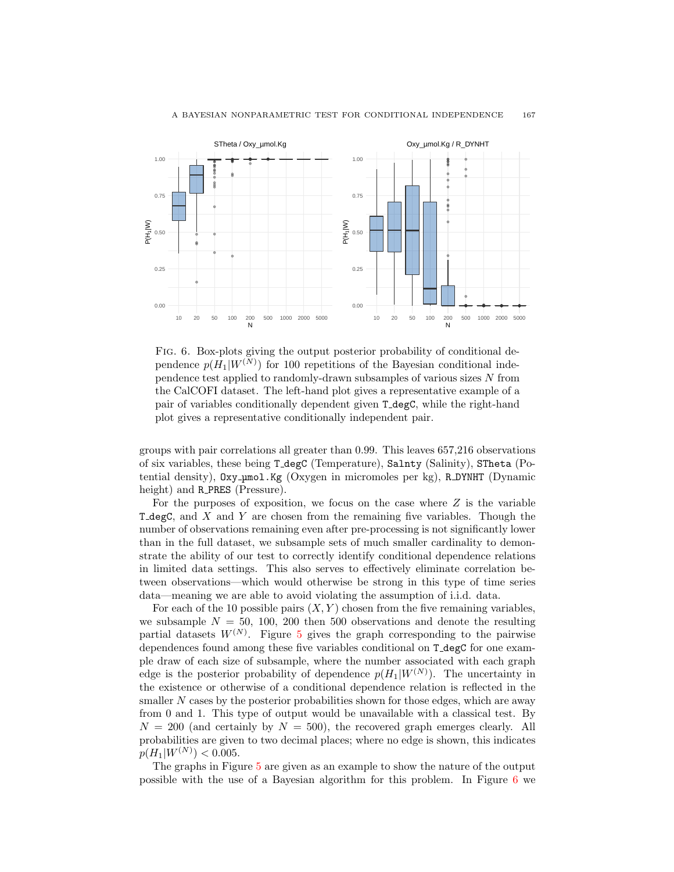

#### A BAYESIAN NONPARAMETRIC TEST FOR CONDITIONAL INDEPENDENCE 167

Fig. 6. Box-plots giving the output posterior probability of conditional dependence  $p(H_1|W^{(N)})$  for 100 repetitions of the Bayesian conditional independence test applied to randomly-drawn subsamples of various sizes N from the CalCOFI dataset. The left-hand plot gives a representative example of a pair of variables conditionally dependent given T degC, while the right-hand plot gives a representative conditionally independent pair.

0.00

10 20 50 100 200 500 1000 2000 5000  $\overline{N}$ 

0.00

10 20 50 100 200 500 1000 2000 5000 N

groups with pair correlations all greater than 0.99. This leaves 657,216 observations of six variables, these being T degC (Temperature), Salnty (Salinity), STheta (Potential density),  $\alpha x$ y  $\mu$ mol.Kg (Oxygen in micromoles per kg), R DYNHT (Dynamic height) and **R\_PRES** (Pressure).

For the purposes of exposition, we focus on the case where  $Z$  is the variable T\_degC, and  $X$  and  $Y$  are chosen from the remaining five variables. Though the number of observations remaining even after pre-processing is not significantly lower than in the full dataset, we subsample sets of much smaller cardinality to demonstrate the ability of our test to correctly identify conditional dependence relations in limited data settings. This also serves to effectively eliminate correlation between observations—which would otherwise be strong in this type of time series data—meaning we are able to avoid violating the assumption of i.i.d. data.

For each of the 10 possible pairs  $(X, Y)$  chosen from the five remaining variables, we subsample  $N = 50, 100, 200$  then 500 observations and denote the resulting partial datasets  $W^{(N)}$ . Figure 5 gives the graph corresponding to the pairwise dependences found among these five variables conditional on T\_degC for one example draw of each size of subsample, where the number associated with each graph edge is the posterior probability of dependence  $p(H_1|W^{(N)})$ . The uncertainty in the existence or otherwise of a conditional dependence relation is reflected in the smaller N cases by the posterior probabilities shown for those edges, which are away from 0 and 1. This type of output would be unavailable with a classical test. By  $N = 200$  (and certainly by  $N = 500$ ), the recovered graph emerges clearly. All probabilities are given to two decimal places; where no edge is shown, this indicates  $p(H_1|W^{(N)}) < 0.005.$ 

The graphs in Figure 5 are given as an example to show the nature of the output possible with the use of a Bayesian algorithm for this problem. In Figure 6 we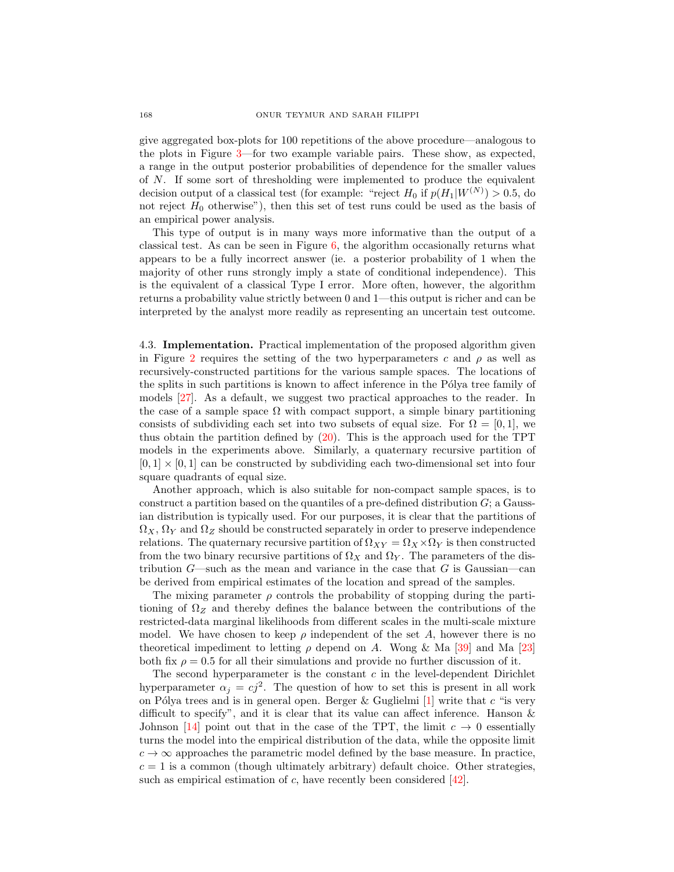give aggregated box-plots for 100 repetitions of the above procedure—analogous to the plots in Figure 3—for two example variable pairs. These show, as expected, a range in the output posterior probabilities of dependence for the smaller values of N. If some sort of thresholding were implemented to produce the equivalent decision output of a classical test (for example: "reject  $H_0$  if  $p(H_1|W^{(N)}) > 0.5$ , do not reject  $H_0$  otherwise"), then this set of test runs could be used as the basis of an empirical power analysis.

This type of output is in many ways more informative than the output of a classical test. As can be seen in Figure 6, the algorithm occasionally returns what appears to be a fully incorrect answer (ie. a posterior probability of 1 when the majority of other runs strongly imply a state of conditional independence). This is the equivalent of a classical Type I error. More often, however, the algorithm returns a probability value strictly between 0 and 1—this output is richer and can be interpreted by the analyst more readily as representing an uncertain test outcome.

4.3. Implementation. Practical implementation of the proposed algorithm given in Figure 2 requires the setting of the two hyperparameters c and  $\rho$  as well as recursively-constructed partitions for the various sample spaces. The locations of the splits in such partitions is known to affect inference in the Pólya tree family of models [27]. As a default, we suggest two practical approaches to the reader. In the case of a sample space  $\Omega$  with compact support, a simple binary partitioning consists of subdividing each set into two subsets of equal size. For  $\Omega = [0, 1]$ , we thus obtain the partition defined by (20). This is the approach used for the TPT models in the experiments above. Similarly, a quaternary recursive partition of  $[0, 1] \times [0, 1]$  can be constructed by subdividing each two-dimensional set into four square quadrants of equal size.

Another approach, which is also suitable for non-compact sample spaces, is to construct a partition based on the quantiles of a pre-defined distribution G; a Gaussian distribution is typically used. For our purposes, it is clear that the partitions of  $\Omega_X, \Omega_Y$  and  $\Omega_Z$  should be constructed separately in order to preserve independence relations. The quaternary recursive partition of  $\Omega_{XY} = \Omega_X \times \Omega_Y$  is then constructed from the two binary recursive partitions of  $\Omega_X$  and  $\Omega_Y$ . The parameters of the distribution  $G$ —such as the mean and variance in the case that G is Gaussian—can be derived from empirical estimates of the location and spread of the samples.

The mixing parameter  $\rho$  controls the probability of stopping during the partitioning of  $\Omega_Z$  and thereby defines the balance between the contributions of the restricted-data marginal likelihoods from different scales in the multi-scale mixture model. We have chosen to keep  $\rho$  independent of the set A, however there is no theoretical impediment to letting  $\rho$  depend on A. Wong & Ma [39] and Ma [23] both fix  $\rho = 0.5$  for all their simulations and provide no further discussion of it.

The second hyperparameter is the constant  $c$  in the level-dependent Dirichlet hyperparameter  $\alpha_j = cj^2$ . The question of how to set this is present in all work on Pólya trees and is in general open. Berger & Guglielmi  $[1]$  write that c "is very difficult to specify", and it is clear that its value can affect inference. Hanson & Johnson [14] point out that in the case of the TPT, the limit  $c \to 0$  essentially turns the model into the empirical distribution of the data, while the opposite limit  $c \to \infty$  approaches the parametric model defined by the base measure. In practice,  $c = 1$  is a common (though ultimately arbitrary) default choice. Other strategies, such as empirical estimation of  $c$ , have recently been considered [42].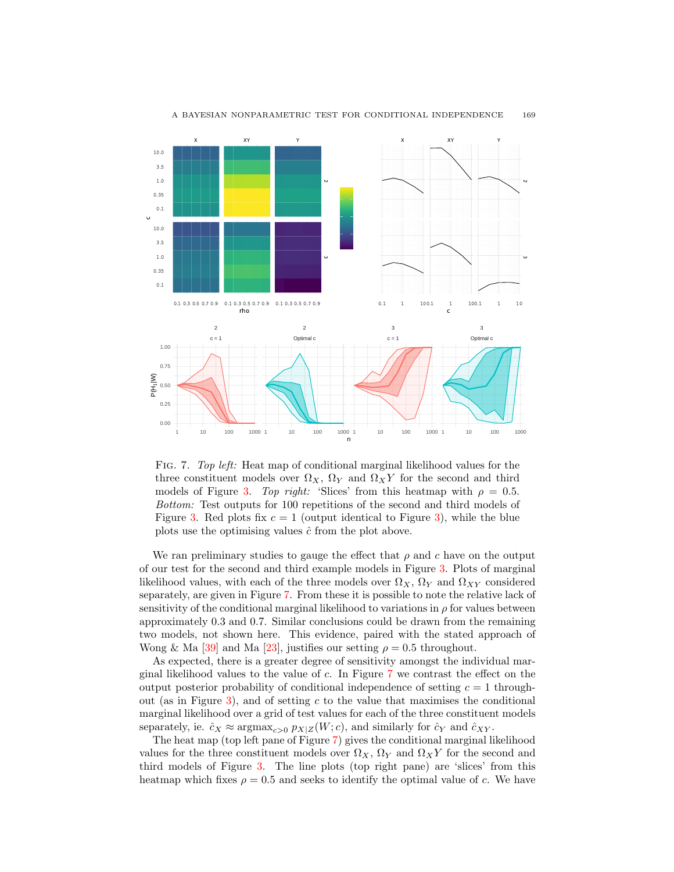

#### A BAYESIAN NONPARAMETRIC TEST FOR CONDITIONAL INDEPENDENCE 169

Fig. 7. Top left: Heat map of conditional marginal likelihood values for the three constituent models over  $\Omega_X$ ,  $\Omega_Y$  and  $\Omega_X$ Y for the second and third models of Figure 3. Top right: 'Slices' from this heatmap with  $\rho = 0.5$ . Bottom: Test outputs for 100 repetitions of the second and third models of Figure 3. Red plots fix  $c = 1$  (output identical to Figure 3), while the blue plots use the optimising values  $\hat{c}$  from the plot above.

We ran preliminary studies to gauge the effect that  $\rho$  and c have on the output of our test for the second and third example models in Figure 3. Plots of marginal likelihood values, with each of the three models over  $\Omega_X$ ,  $\Omega_Y$  and  $\Omega_{XY}$  considered separately, are given in Figure 7. From these it is possible to note the relative lack of sensitivity of the conditional marginal likelihood to variations in  $\rho$  for values between approximately 0.3 and 0.7. Similar conclusions could be drawn from the remaining two models, not shown here. This evidence, paired with the stated approach of Wong & Ma [39] and Ma [23], justifies our setting  $\rho = 0.5$  throughout.

As expected, there is a greater degree of sensitivity amongst the individual marginal likelihood values to the value of c. In Figure 7 we contrast the effect on the output posterior probability of conditional independence of setting  $c = 1$  throughout (as in Figure 3), and of setting c to the value that maximises the conditional marginal likelihood over a grid of test values for each of the three constituent models separately, ie.  $\hat{c}_X \approx \text{argmax}_{c>0} p_{X|Z}(W; c)$ , and similarly for  $\hat{c}_Y$  and  $\hat{c}_{XY}$ .

The heat map (top left pane of Figure 7) gives the conditional marginal likelihood values for the three constituent models over  $\Omega_X$ ,  $\Omega_Y$  and  $\Omega_X Y$  for the second and third models of Figure 3. The line plots (top right pane) are 'slices' from this heatmap which fixes  $\rho = 0.5$  and seeks to identify the optimal value of c. We have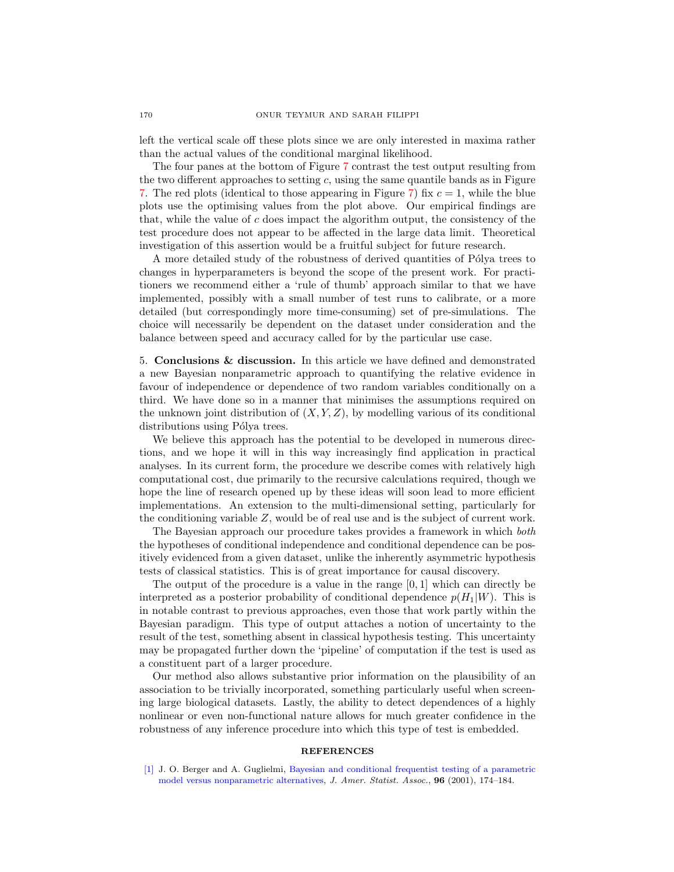left the vertical scale off these plots since we are only interested in maxima rather than the actual values of the conditional marginal likelihood.

The four panes at the bottom of Figure 7 contrast the test output resulting from the two different approaches to setting  $c$ , using the same quantile bands as in Figure 7. The red plots (identical to those appearing in Figure 7) fix  $c = 1$ , while the blue plots use the optimising values from the plot above. Our empirical findings are that, while the value of c does impact the algorithm output, the consistency of the test procedure does not appear to be affected in the large data limit. Theoretical investigation of this assertion would be a fruitful subject for future research.

A more detailed study of the robustness of derived quantities of Pólya trees to changes in hyperparameters is beyond the scope of the present work. For practitioners we recommend either a 'rule of thumb' approach similar to that we have implemented, possibly with a small number of test runs to calibrate, or a more detailed (but correspondingly more time-consuming) set of pre-simulations. The choice will necessarily be dependent on the dataset under consideration and the balance between speed and accuracy called for by the particular use case.

5. Conclusions & discussion. In this article we have defined and demonstrated a new Bayesian nonparametric approach to quantifying the relative evidence in favour of independence or dependence of two random variables conditionally on a third. We have done so in a manner that minimises the assumptions required on the unknown joint distribution of  $(X, Y, Z)$ , by modelling various of its conditional distributions using Pólya trees.

We believe this approach has the potential to be developed in numerous directions, and we hope it will in this way increasingly find application in practical analyses. In its current form, the procedure we describe comes with relatively high computational cost, due primarily to the recursive calculations required, though we hope the line of research opened up by these ideas will soon lead to more efficient implementations. An extension to the multi-dimensional setting, particularly for the conditioning variable Z, would be of real use and is the subject of current work.

The Bayesian approach our procedure takes provides a framework in which both the hypotheses of conditional independence and conditional dependence can be positively evidenced from a given dataset, unlike the inherently asymmetric hypothesis tests of classical statistics. This is of great importance for causal discovery.

The output of the procedure is a value in the range [0, 1] which can directly be interpreted as a posterior probability of conditional dependence  $p(H_1|W)$ . This is in notable contrast to previous approaches, even those that work partly within the Bayesian paradigm. This type of output attaches a notion of uncertainty to the result of the test, something absent in classical hypothesis testing. This uncertainty may be propagated further down the 'pipeline' of computation if the test is used as a constituent part of a larger procedure.

Our method also allows substantive prior information on the plausibility of an association to be trivially incorporated, something particularly useful when screening large biological datasets. Lastly, the ability to detect dependences of a highly nonlinear or even non-functional nature allows for much greater confidence in the robustness of any inference procedure into which this type of test is embedded.

#### **REFERENCES**

[\[1\]](http://www.ams.org/mathscinet-getitem?mr=MR1952730&return=pdf) J. O. Berger and A. Guglielmi, [Bayesian and conditional frequentist testing of a parametric](http://dx.doi.org/10.1198/016214501750333045) [model versus nonparametric alternatives,](http://dx.doi.org/10.1198/016214501750333045) J. Amer. Statist. Assoc., 96 (2001), 174–184.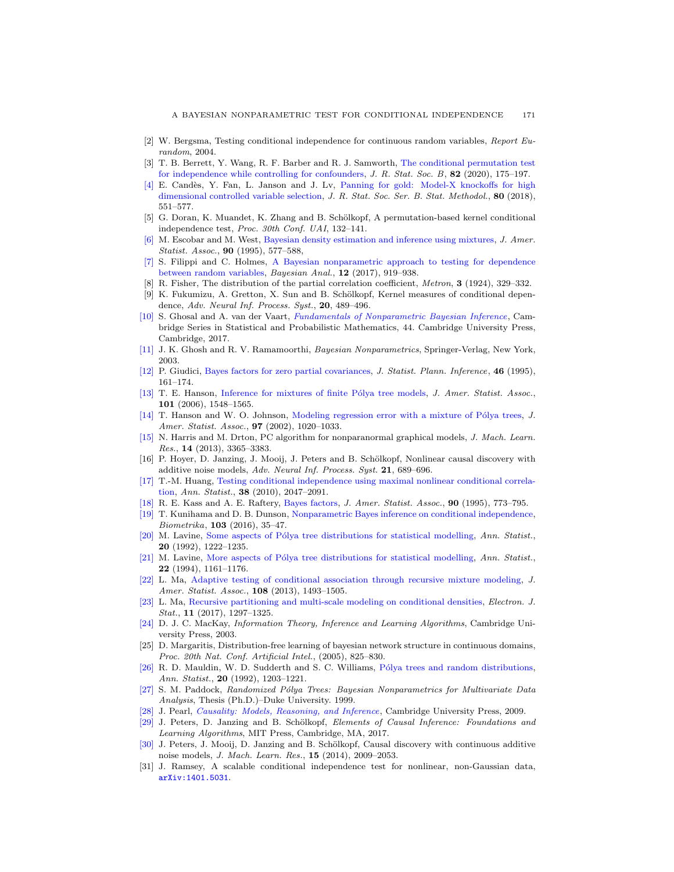- [2] W. Bergsma, Testing conditional independence for continuous random variables, Report Eurandom, 2004.
- [3] T. B. Berrett, Y. Wang, R. F. Barber and R. J. Samworth, [The conditional permutation test](http://dx.doi.org/10.1111/rssb.12340) [for independence while controlling for confounders,](http://dx.doi.org/10.1111/rssb.12340) J. R. Stat. Soc. B, 82 (2020), 175–197.
- [\[4\]](http://www.ams.org/mathscinet-getitem?mr=MR3798878&return=pdf) E. Candès, Y. Fan, L. Janson and J. Lv, [Panning for gold: Model-X knockoffs for high](http://dx.doi.org/10.1111/rssb.12265) [dimensional controlled variable selection,](http://dx.doi.org/10.1111/rssb.12265) J. R. Stat. Soc. Ser. B. Stat. Methodol., 80 (2018), 551–577.
- [5] G. Doran, K. Muandet, K. Zhang and B. Schölkopf, A permutation-based kernel conditional independence test, Proc. 30th Conf. UAI, 132–141.
- [\[6\]](http://www.ams.org/mathscinet-getitem?mr=MR1340510&return=pdf) M. Escobar and M. West, [Bayesian density estimation and inference using mixtures,](http://dx.doi.org/10.1080/01621459.1995.10476550) J. Amer. Statist. Assoc., **90** (1995), 577–588,
- [\[7\]](http://www.ams.org/mathscinet-getitem?mr=MR3724973&return=pdf) S. Filippi and C. Holmes, [A Bayesian nonparametric approach to testing for dependence](http://dx.doi.org/10.1214/16-BA1027) [between random variables,](http://dx.doi.org/10.1214/16-BA1027) Bayesian Anal., 12 (2017), 919-938.
- [8] R. Fisher, The distribution of the partial correlation coefficient, Metron, 3 (1924), 329–332.
- [9] K. Fukumizu, A. Gretton, X. Sun and B. Schölkopf, Kernel measures of conditional dependence, Adv. Neural Inf. Process. Syst., 20, 489–496.
- [\[10\]](http://www.ams.org/mathscinet-getitem?mr=MR3587782&return=pdf) S. Ghosal and A. van der Vaart, [Fundamentals of Nonparametric Bayesian Inference](http://dx.doi.org/10.1017/9781139029834), Cambridge Series in Statistical and Probabilistic Mathematics, 44. Cambridge University Press, Cambridge, 2017.
- [\[11\]](http://www.ams.org/mathscinet-getitem?mr=MR1992245&return=pdf) J. K. Ghosh and R. V. Ramamoorthi, Bayesian Nonparametrics, Springer-Verlag, New York, 2003.
- [\[12\]](http://www.ams.org/mathscinet-getitem?mr=MR1354084&return=pdf) P. Giudici, [Bayes factors for zero partial covariances,](http://dx.doi.org/10.1016/0378-3758(94)00101-Z) J. Statist. Plann. Inference, 46 (1995), 161–174.
- [\[13\]](http://www.ams.org/mathscinet-getitem?mr=MR2279479&return=pdf) T. E. Hanson, Inference for mixtures of finite Pólya tree models, J. Amer. Statist. Assoc., 101 (2006), 1548–1565.
- [\[14\]](http://www.ams.org/mathscinet-getitem?mr=MR1951256&return=pdf) T. Hanson and W. O. Johnson, Modeling regression error with a mixture of Pólya trees, J. Amer. Statist. Assoc., **97** (2002), 1020-1033.
- [\[15\]](http://www.ams.org/mathscinet-getitem?mr=MR3144465&return=pdf) N. Harris and M. Drton, PC algorithm for nonparanormal graphical models, J. Mach. Learn. Res., 14 (2013), 3365–3383.
- [16] P. Hoyer, D. Janzing, J. Mooij, J. Peters and B. Schölkopf, Nonlinear causal discovery with additive noise models, Adv. Neural Inf. Process. Syst. 21, 689–696.
- [\[17\]](http://www.ams.org/mathscinet-getitem?mr=MR2676883&return=pdf) T.-M. Huang, [Testing conditional independence using maximal nonlinear conditional correla](http://dx.doi.org/10.1214/09-AOS770)[tion,](http://dx.doi.org/10.1214/09-AOS770) Ann. Statist., 38 (2010), 2047–2091.
- [\[18\]](http://www.ams.org/mathscinet-getitem?mr=MR3363402&return=pdf) R. E. Kass and A. E. Raftery, [Bayes factors,](http://dx.doi.org/10.1080/01621459.1995.10476572) J. Amer. Statist. Assoc., 90 (1995), 773–795.
- [\[19\]](http://www.ams.org/mathscinet-getitem?mr=MR3465820&return=pdf) T. Kunihama and D. B. Dunson, [Nonparametric Bayes inference on conditional independence,](http://dx.doi.org/10.1093/biomet/asv060) Biometrika, 103 (2016), 35–47.
- [\[20\]](http://www.ams.org/mathscinet-getitem?mr=MR1186248&return=pdf) M. Lavine, Some aspects of Pólya tree distributions for statistical modelling, Ann. Statist., 20 (1992), 1222–1235.
- [\[21\]](http://www.ams.org/mathscinet-getitem?mr=MR1311970&return=pdf) M. Lavine, More aspects of Pólya tree distributions for statistical modelling, Ann. Statist., 22 (1994), 1161–1176.
- [\[22\]](http://www.ams.org/mathscinet-getitem?mr=MR3174724&return=pdf) L. Ma, [Adaptive testing of conditional association through recursive mixture modeling,](http://dx.doi.org/10.1080/01621459.2013.838899) J. Amer. Statist. Assoc., **108** (2013), 1493-1505.
- [\[23\]](http://www.ams.org/mathscinet-getitem?mr=MR3635914&return=pdf) L. Ma, [Recursive partitioning and multi-scale modeling on conditional densities,](http://dx.doi.org/10.1214/17-EJS1254) Electron. J. Stat., 11 (2017), 1297–1325.
- [\[24\]](http://www.ams.org/mathscinet-getitem?mr=MR2012999&return=pdf) D. J. C. MacKay, Information Theory, Inference and Learning Algorithms, Cambridge University Press, 2003.
- [25] D. Margaritis, Distribution-free learning of bayesian network structure in continuous domains, Proc. 20th Nat. Conf. Artificial Intel., (2005), 825–830.
- [\[26\]](http://www.ams.org/mathscinet-getitem?mr=MR1186247&return=pdf) R. D. Mauldin, W. D. Sudderth and S. C. Williams, Pólya trees and random distributions, Ann. Statist., 20 (1992), 1203–1221.
- [\[27\]](http://www.ams.org/mathscinet-getitem?mr=MR2699876&return=pdf) S. M. Paddock, Randomized Pólya Trees: Bayesian Nonparametrics for Multivariate Data Analysis, Thesis (Ph.D.)–Duke University. 1999.
- [\[28\]](http://www.ams.org/mathscinet-getitem?mr=MR2548166&return=pdf) J. Pearl, [Causality: Models, Reasoning, and Inference](http://dx.doi.org/10.1017/CBO9780511803161), Cambridge University Press, 2009.
- [\[29\]](http://www.ams.org/mathscinet-getitem?mr=MR3822088&return=pdf) J. Peters, D. Janzing and B. Schölkopf, Elements of Causal Inference: Foundations and Learning Algorithms, MIT Press, Cambridge, MA, 2017.
- [\[30\]](http://www.ams.org/mathscinet-getitem?mr=MR3231600&return=pdf) J. Peters, J. Mooij, D. Janzing and B. Schölkopf, Causal discovery with continuous additive noise models, J. Mach. Learn. Res., 15 (2014), 2009–2053.
- [31] J. Ramsey, A scalable conditional independence test for nonlinear, non-Gaussian data, [arXiv:1401.5031](http://arxiv.org/pdf/1401.5031).